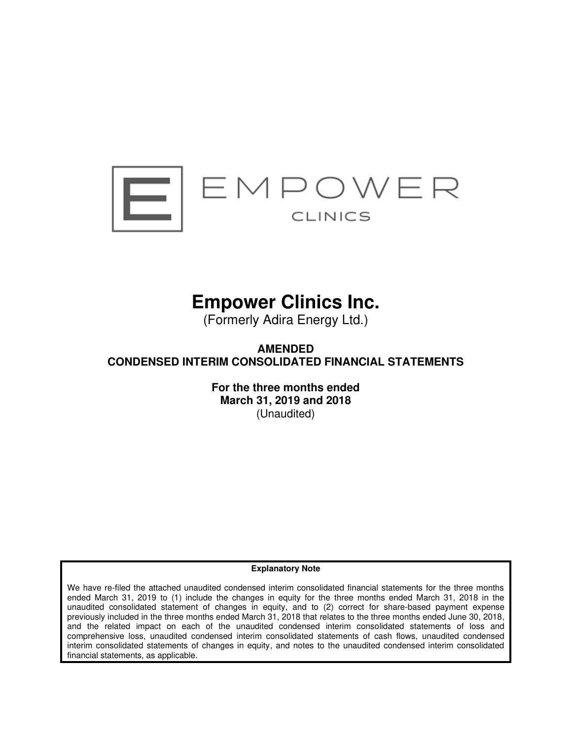

# **Empower Clinics Inc.**

(Formerly Adira Energy Ltd.)

**AMENDED CONDENSED INTERIM CONSOLIDATED FINANCIAL STATEMENTS** 

> **For the three months ended March 31, 2019 and 2018**  (Unaudited)

### **Explanatory Note**

We have re-filed the attached unaudited condensed interim consolidated financial statements for the three months ended March 31, 2019 to (1) include the changes in equity for the three months ended March 31, 2018 in the unaudited consolidated statement of changes in equity, and to (2) correct for share-based payment expense previously included in the three months ended March 31, 2018 that relates to the three months ended June 30, 2018, and the related impact on each of the unaudited condensed interim consolidated statements of loss and comprehensive loss, unaudited condensed interim consolidated statements of cash flows, unaudited condensed interim consolidated statements of changes in equity, and notes to the unaudited condensed interim consolidated financial statements, as applicable.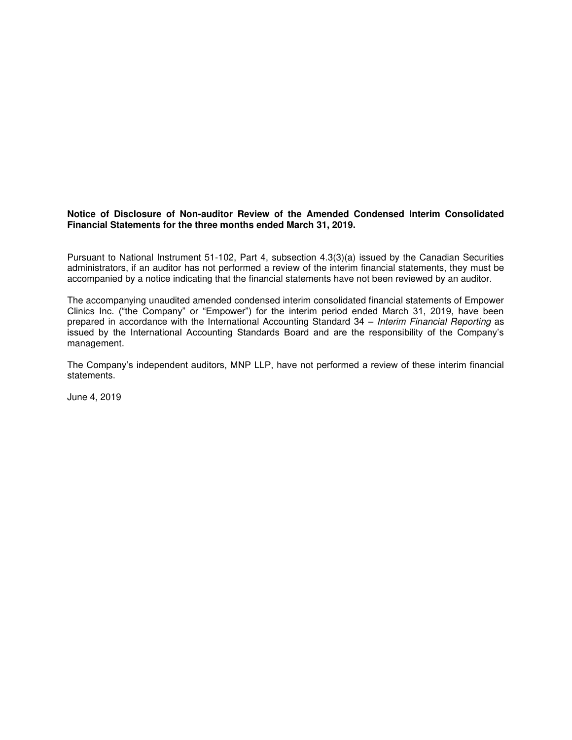### **Notice of Disclosure of Non-auditor Review of the Amended Condensed Interim Consolidated Financial Statements for the three months ended March 31, 2019.**

Pursuant to National Instrument 51-102, Part 4, subsection 4.3(3)(a) issued by the Canadian Securities administrators, if an auditor has not performed a review of the interim financial statements, they must be accompanied by a notice indicating that the financial statements have not been reviewed by an auditor.

The accompanying unaudited amended condensed interim consolidated financial statements of Empower Clinics Inc. ("the Company" or "Empower") for the interim period ended March 31, 2019, have been prepared in accordance with the International Accounting Standard 34 - Interim Financial Reporting as issued by the International Accounting Standards Board and are the responsibility of the Company's management.

The Company's independent auditors, MNP LLP, have not performed a review of these interim financial statements.

June 4, 2019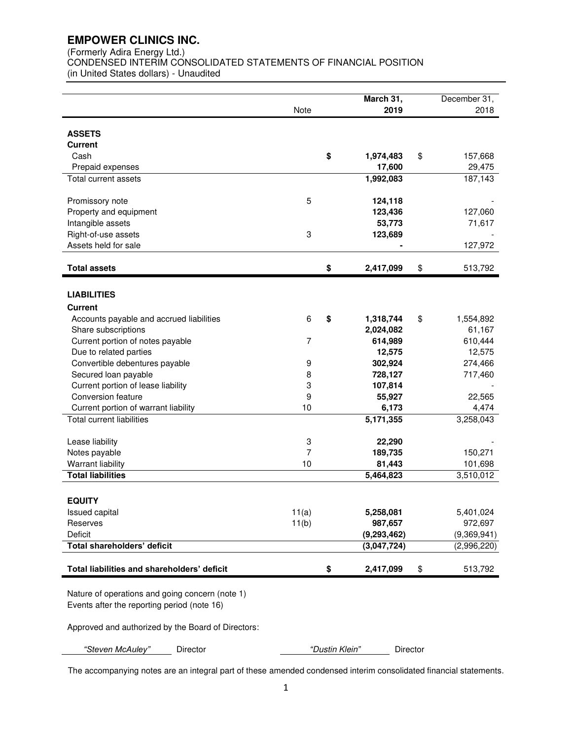(Formerly Adira Energy Ltd.)

CONDENSED INTERIM CONSOLIDATED STATEMENTS OF FINANCIAL POSITION (in United States dollars) - Unaudited

|                                             | Note                      | March 31,<br>2019 | December 31,<br>2018 |
|---------------------------------------------|---------------------------|-------------------|----------------------|
|                                             |                           |                   |                      |
| <b>ASSETS</b>                               |                           |                   |                      |
| <b>Current</b>                              |                           |                   |                      |
| Cash                                        |                           | \$<br>1,974,483   | \$<br>157,668        |
| Prepaid expenses                            |                           | 17,600            | 29,475               |
| Total current assets                        |                           | 1,992,083         | 187,143              |
| Promissory note                             | 5                         | 124,118           |                      |
| Property and equipment                      |                           | 123,436           | 127,060              |
| Intangible assets                           |                           | 53,773            | 71,617               |
| Right-of-use assets                         | 3                         | 123,689           |                      |
| Assets held for sale                        |                           |                   | 127,972              |
| <b>Total assets</b>                         |                           | \$<br>2,417,099   | \$<br>513,792        |
|                                             |                           |                   |                      |
| <b>LIABILITIES</b>                          |                           |                   |                      |
| <b>Current</b>                              |                           |                   |                      |
| Accounts payable and accrued liabilities    | 6                         | \$<br>1,318,744   | \$<br>1,554,892      |
| Share subscriptions                         |                           | 2,024,082         | 61,167               |
| Current portion of notes payable            | 7                         | 614,989           | 610,444              |
| Due to related parties                      |                           | 12,575            | 12,575               |
| Convertible debentures payable              | 9                         | 302,924           | 274,466              |
| Secured loan payable                        | 8                         | 728,127           | 717,460              |
| Current portion of lease liability          | 3                         | 107,814           |                      |
| Conversion feature                          | 9                         | 55,927            | 22,565               |
| Current portion of warrant liability        | 10                        | 6,173             | 4,474                |
| <b>Total current liabilities</b>            |                           | 5,171,355         | 3,258,043            |
| Lease liability                             | $\ensuremath{\mathsf{3}}$ | 22,290            |                      |
| Notes payable                               | 7                         | 189,735           | 150,271              |
| Warrant liability                           | 10                        | 81,443            | 101,698              |
| <b>Total liabilities</b>                    |                           | 5,464,823         | 3,510,012            |
| <b>EQUITY</b>                               |                           |                   |                      |
| Issued capital                              | 11(a)                     | 5,258,081         | 5,401,024            |
| Reserves                                    | 11(b)                     | 987,657           | 972,697              |
| Deficit                                     |                           | (9, 293, 462)     | (9,369,941)          |
| Total shareholders' deficit                 |                           | (3,047,724)       | (2,996,220)          |
| Total liabilities and shareholders' deficit |                           | \$<br>2,417,099   | \$<br>513,792        |
|                                             |                           |                   |                      |

Nature of operations and going concern (note 1) Events after the reporting period (note 16)

Approved and authorized by the Board of Directors:

*"Steven McAuley"* Director *"*Dustin Klein*"* Director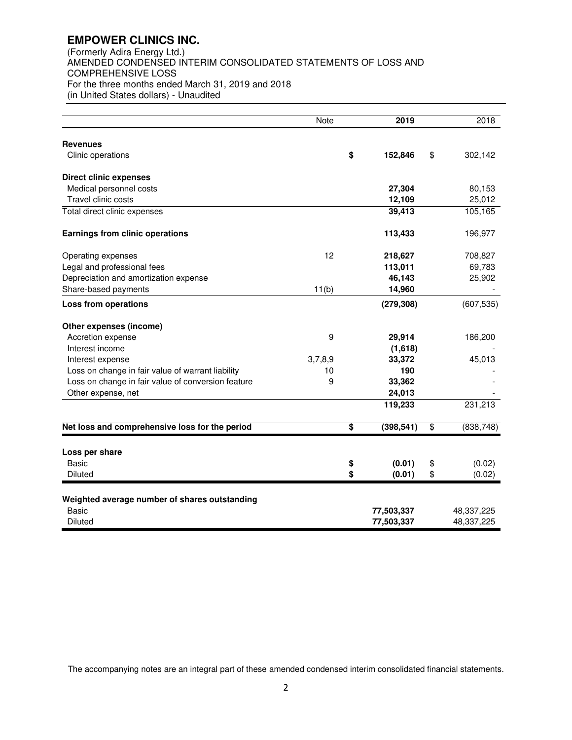(Formerly Adira Energy Ltd.) AMENDED CONDENSED INTERIM CONSOLIDATED STATEMENTS OF LOSS AND COMPREHENSIVE LOSS For the three months ended March 31, 2019 and 2018 (in United States dollars) - Unaudited

|                                                    | Note    |          | 2019       |          | 2018             |
|----------------------------------------------------|---------|----------|------------|----------|------------------|
| <b>Revenues</b>                                    |         |          |            |          |                  |
| Clinic operations                                  |         | \$       | 152,846    | \$       | 302,142          |
| <b>Direct clinic expenses</b>                      |         |          |            |          |                  |
| Medical personnel costs                            |         |          | 27,304     |          | 80,153           |
| Travel clinic costs                                |         |          | 12,109     |          | 25,012           |
| Total direct clinic expenses                       |         |          | 39,413     |          | 105,165          |
| <b>Earnings from clinic operations</b>             |         |          | 113,433    |          | 196,977          |
| Operating expenses                                 | 12      |          | 218,627    |          | 708,827          |
| Legal and professional fees                        |         |          | 113,011    |          | 69,783           |
| Depreciation and amortization expense              |         |          | 46,143     |          | 25,902           |
| Share-based payments                               | 11(b)   |          | 14,960     |          |                  |
| <b>Loss from operations</b>                        |         |          | (279, 308) |          | (607, 535)       |
| Other expenses (income)                            |         |          |            |          |                  |
| Accretion expense                                  | 9       |          | 29,914     |          | 186,200          |
| Interest income                                    |         |          | (1,618)    |          |                  |
| Interest expense                                   | 3,7,8,9 |          | 33,372     |          | 45,013           |
| Loss on change in fair value of warrant liability  | 10      |          | 190        |          |                  |
| Loss on change in fair value of conversion feature | 9       |          | 33,362     |          |                  |
| Other expense, net                                 |         |          | 24,013     |          |                  |
|                                                    |         |          | 119,233    |          | 231,213          |
| Net loss and comprehensive loss for the period     |         | \$       | (398, 541) | \$       | (838, 748)       |
|                                                    |         |          |            |          |                  |
| Loss per share<br><b>Basic</b>                     |         |          | (0.01)     |          |                  |
| Diluted                                            |         | \$<br>\$ | (0.01)     | \$<br>\$ | (0.02)<br>(0.02) |
|                                                    |         |          |            |          |                  |
| Weighted average number of shares outstanding      |         |          |            |          |                  |
| <b>Basic</b>                                       |         |          | 77,503,337 |          | 48,337,225       |
| Diluted                                            |         |          | 77,503,337 |          | 48,337,225       |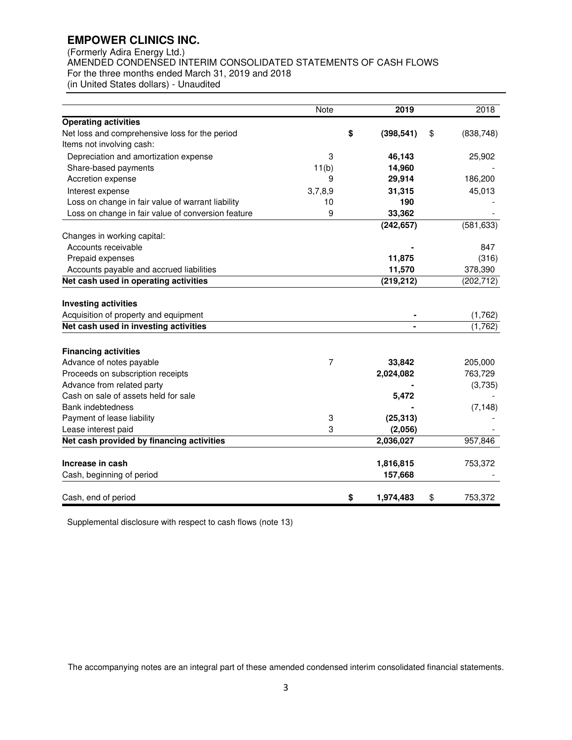(Formerly Adira Energy Ltd.) AMENDED CONDENSED INTERIM CONSOLIDATED STATEMENTS OF CASH FLOWS For the three months ended March 31, 2019 and 2018 (in United States dollars) - Unaudited

|                                                    | Note    | 2019             | 2018             |
|----------------------------------------------------|---------|------------------|------------------|
| <b>Operating activities</b>                        |         |                  |                  |
| Net loss and comprehensive loss for the period     |         | \$<br>(398, 541) | \$<br>(838, 748) |
| Items not involving cash:                          |         |                  |                  |
| Depreciation and amortization expense              | 3       | 46,143           | 25,902           |
| Share-based payments                               | 11(b)   | 14,960           |                  |
| Accretion expense                                  | 9       | 29,914           | 186,200          |
| Interest expense                                   | 3,7,8,9 | 31,315           | 45,013           |
| Loss on change in fair value of warrant liability  | 10      | 190              |                  |
| Loss on change in fair value of conversion feature | 9       | 33,362           |                  |
|                                                    |         | (242, 657)       | (581, 633)       |
| Changes in working capital:                        |         |                  |                  |
| Accounts receivable                                |         |                  | 847              |
| Prepaid expenses                                   |         | 11,875           | (316)            |
| Accounts payable and accrued liabilities           |         | 11,570           | 378,390          |
| Net cash used in operating activities              |         | (219, 212)       | (202, 712)       |
|                                                    |         |                  |                  |
| <b>Investing activities</b>                        |         |                  |                  |
| Acquisition of property and equipment              |         |                  | (1,762)          |
| Net cash used in investing activities              |         |                  | (1,762)          |
| <b>Financing activities</b>                        |         |                  |                  |
| Advance of notes payable                           | 7       | 33,842           | 205,000          |
| Proceeds on subscription receipts                  |         | 2,024,082        | 763,729          |
| Advance from related party                         |         |                  | (3,735)          |
| Cash on sale of assets held for sale               |         | 5,472            |                  |
| <b>Bank indebtedness</b>                           |         |                  | (7, 148)         |
| Payment of lease liability                         | 3       | (25, 313)        |                  |
| Lease interest paid                                | 3       | (2,056)          |                  |
| Net cash provided by financing activities          |         | 2,036,027        | 957,846          |
| Increase in cash                                   |         | 1,816,815        | 753,372          |
| Cash, beginning of period                          |         | 157,668          |                  |
| Cash, end of period                                |         | \$<br>1,974,483  | \$<br>753,372    |

Supplemental disclosure with respect to cash flows (note 13)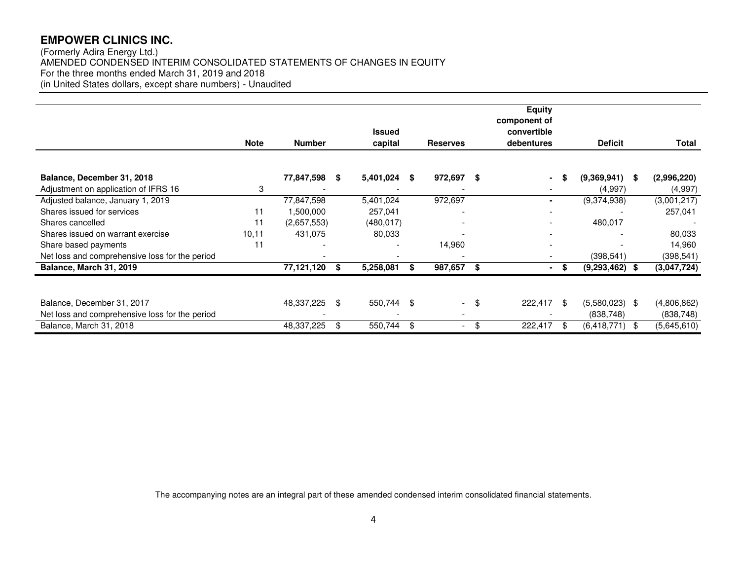(Formerly Adira Energy Ltd.) AMENDED CONDENSED INTERIM CONSOLIDATED STATEMENTS OF CHANGES IN EQUITY For the three months ended March 31, 2019 and 2018 (in United States dollars, except share numbers) - Unaudited

|                                                |             |               |    |                          |      |                          |      | <b>Equity</b>               |      |                  |     |             |
|------------------------------------------------|-------------|---------------|----|--------------------------|------|--------------------------|------|-----------------------------|------|------------------|-----|-------------|
|                                                |             |               |    |                          |      |                          |      | component of<br>convertible |      |                  |     |             |
|                                                | <b>Note</b> | <b>Number</b> |    | <b>Issued</b>            |      | <b>Reserves</b>          |      | debentures                  |      | <b>Deficit</b>   |     | Total       |
|                                                |             |               |    | capital                  |      |                          |      |                             |      |                  |     |             |
|                                                |             |               |    |                          |      |                          |      |                             |      |                  |     |             |
| Balance, December 31, 2018                     |             | 77,847,598    | -S | 5,401,024                | -SG  | 972,697 \$               |      |                             |      | (9,369,941)      | -SG | (2,996,220) |
| Adjustment on application of IFRS 16           | 3           |               |    |                          |      |                          |      | $\sim$                      |      | (4,997)          |     | (4,997)     |
| Adjusted balance, January 1, 2019              |             | 77,847,598    |    | 5,401,024                |      | 972,697                  |      |                             |      | (9,374,938)      |     | (3,001,217) |
| Shares issued for services                     | 11          | 1,500,000     |    | 257,041                  |      |                          |      |                             |      |                  |     | 257,041     |
| Shares cancelled                               | 11          | (2,657,553)   |    | (480, 017)               |      |                          |      |                             |      | 480,017          |     |             |
| Shares issued on warrant exercise              | 10,11       | 431,075       |    | 80,033                   |      |                          |      |                             |      |                  |     | 80,033      |
| Share based payments                           | 11          |               |    |                          |      | 14,960                   |      |                             |      |                  |     | 14,960      |
| Net loss and comprehensive loss for the period |             |               |    | $\overline{\phantom{a}}$ |      |                          |      | $\overline{\phantom{a}}$    |      | (398, 541)       |     | (398, 541)  |
| Balance, March 31, 2019                        |             | 77,121,120    | S  | 5,258,081                | \$   | 987,657                  | - \$ |                             |      | $(9,293,462)$ \$ |     | (3,047,724) |
|                                                |             |               |    |                          |      |                          |      |                             |      |                  |     |             |
| Balance, December 31, 2017                     |             | 48,337,225    | \$ | 550,744                  | - \$ |                          | - \$ | 222,417                     | - \$ | $(5,580,023)$ \$ |     | (4,806,862) |
| Net loss and comprehensive loss for the period |             |               |    |                          |      | $\overline{\phantom{a}}$ |      |                             |      | (838, 748)       |     | (838, 748)  |
| Balance, March 31, 2018                        |             | 48,337,225    | \$ | 550,744                  | \$   | $\overline{\phantom{a}}$ | \$   | 222,417                     |      | $(6,418,771)$ \$ |     | (5,645,610) |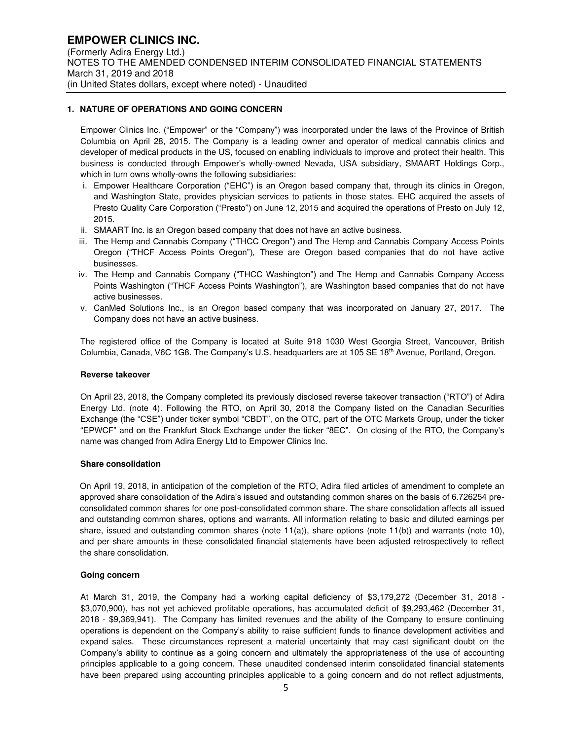### **1. NATURE OF OPERATIONS AND GOING CONCERN**

Empower Clinics Inc. ("Empower" or the "Company") was incorporated under the laws of the Province of British Columbia on April 28, 2015. The Company is a leading owner and operator of medical cannabis clinics and developer of medical products in the US, focused on enabling individuals to improve and protect their health. This business is conducted through Empower's wholly-owned Nevada, USA subsidiary, SMAART Holdings Corp., which in turn owns wholly-owns the following subsidiaries:

- i. Empower Healthcare Corporation ("EHC") is an Oregon based company that, through its clinics in Oregon, and Washington State, provides physician services to patients in those states. EHC acquired the assets of Presto Quality Care Corporation ("Presto") on June 12, 2015 and acquired the operations of Presto on July 12, 2015.
- ii. SMAART Inc. is an Oregon based company that does not have an active business.
- iii. The Hemp and Cannabis Company ("THCC Oregon") and The Hemp and Cannabis Company Access Points Oregon ("THCF Access Points Oregon"), These are Oregon based companies that do not have active businesses.
- iv. The Hemp and Cannabis Company ("THCC Washington") and The Hemp and Cannabis Company Access Points Washington ("THCF Access Points Washington"), are Washington based companies that do not have active businesses.
- v. CanMed Solutions Inc., is an Oregon based company that was incorporated on January 27, 2017. The Company does not have an active business.

The registered office of the Company is located at Suite 918 1030 West Georgia Street, Vancouver, British Columbia, Canada, V6C 1G8. The Company's U.S. headquarters are at 105 SE 18<sup>th</sup> Avenue, Portland, Oregon.

### **Reverse takeover**

On April 23, 2018, the Company completed its previously disclosed reverse takeover transaction ("RTO") of Adira Energy Ltd. (note 4). Following the RTO, on April 30, 2018 the Company listed on the Canadian Securities Exchange (the "CSE") under ticker symbol "CBDT", on the OTC, part of the OTC Markets Group, under the ticker "EPWCF" and on the Frankfurt Stock Exchange under the ticker "8EC". On closing of the RTO, the Company's name was changed from Adira Energy Ltd to Empower Clinics Inc.

### **Share consolidation**

On April 19, 2018, in anticipation of the completion of the RTO, Adira filed articles of amendment to complete an approved share consolidation of the Adira's issued and outstanding common shares on the basis of 6.726254 preconsolidated common shares for one post-consolidated common share. The share consolidation affects all issued and outstanding common shares, options and warrants. All information relating to basic and diluted earnings per share, issued and outstanding common shares (note 11(a)), share options (note 11(b)) and warrants (note 10), and per share amounts in these consolidated financial statements have been adjusted retrospectively to reflect the share consolidation.

### **Going concern**

At March 31, 2019, the Company had a working capital deficiency of \$3,179,272 (December 31, 2018 - \$3,070,900), has not yet achieved profitable operations, has accumulated deficit of \$9,293,462 (December 31, 2018 - \$9,369,941). The Company has limited revenues and the ability of the Company to ensure continuing operations is dependent on the Company's ability to raise sufficient funds to finance development activities and expand sales. These circumstances represent a material uncertainty that may cast significant doubt on the Company's ability to continue as a going concern and ultimately the appropriateness of the use of accounting principles applicable to a going concern. These unaudited condensed interim consolidated financial statements have been prepared using accounting principles applicable to a going concern and do not reflect adjustments,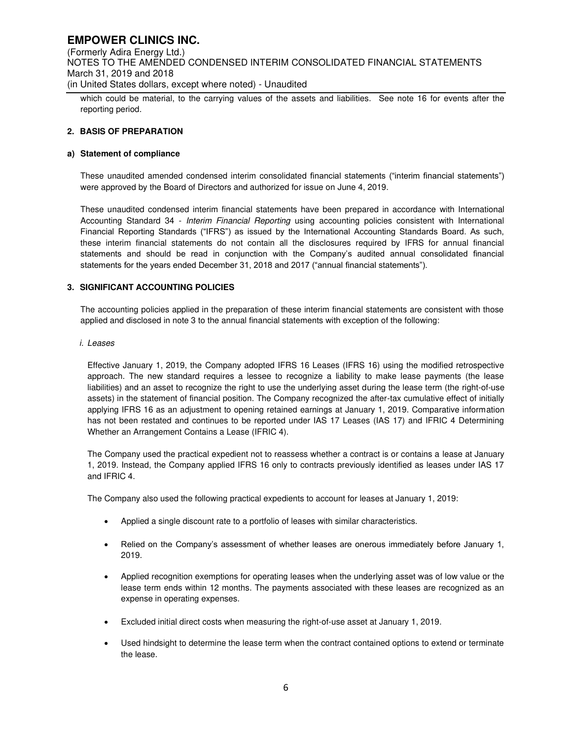(Formerly Adira Energy Ltd.) NOTES TO THE AMENDED CONDENSED INTERIM CONSOLIDATED FINANCIAL STATEMENTS March 31, 2019 and 2018 (in United States dollars, except where noted) - Unaudited

which could be material, to the carrying values of the assets and liabilities. See note 16 for events after the reporting period.

### **2. BASIS OF PREPARATION**

### **a) Statement of compliance**

These unaudited amended condensed interim consolidated financial statements ("interim financial statements") were approved by the Board of Directors and authorized for issue on June 4, 2019.

These unaudited condensed interim financial statements have been prepared in accordance with International Accounting Standard 34 - Interim Financial Reporting using accounting policies consistent with International Financial Reporting Standards ("IFRS") as issued by the International Accounting Standards Board. As such, these interim financial statements do not contain all the disclosures required by IFRS for annual financial statements and should be read in conjunction with the Company's audited annual consolidated financial statements for the years ended December 31, 2018 and 2017 ("annual financial statements").

### **3. SIGNIFICANT ACCOUNTING POLICIES**

The accounting policies applied in the preparation of these interim financial statements are consistent with those applied and disclosed in note 3 to the annual financial statements with exception of the following:

### i. Leases

Effective January 1, 2019, the Company adopted IFRS 16 Leases (IFRS 16) using the modified retrospective approach. The new standard requires a lessee to recognize a liability to make lease payments (the lease liabilities) and an asset to recognize the right to use the underlying asset during the lease term (the right-of-use assets) in the statement of financial position. The Company recognized the after-tax cumulative effect of initially applying IFRS 16 as an adjustment to opening retained earnings at January 1, 2019. Comparative information has not been restated and continues to be reported under IAS 17 Leases (IAS 17) and IFRIC 4 Determining Whether an Arrangement Contains a Lease (IFRIC 4).

The Company used the practical expedient not to reassess whether a contract is or contains a lease at January 1, 2019. Instead, the Company applied IFRS 16 only to contracts previously identified as leases under IAS 17 and IFRIC 4.

The Company also used the following practical expedients to account for leases at January 1, 2019:

- Applied a single discount rate to a portfolio of leases with similar characteristics.
- Relied on the Company's assessment of whether leases are onerous immediately before January 1, 2019.
- Applied recognition exemptions for operating leases when the underlying asset was of low value or the lease term ends within 12 months. The payments associated with these leases are recognized as an expense in operating expenses.
- Excluded initial direct costs when measuring the right-of-use asset at January 1, 2019.
- Used hindsight to determine the lease term when the contract contained options to extend or terminate the lease.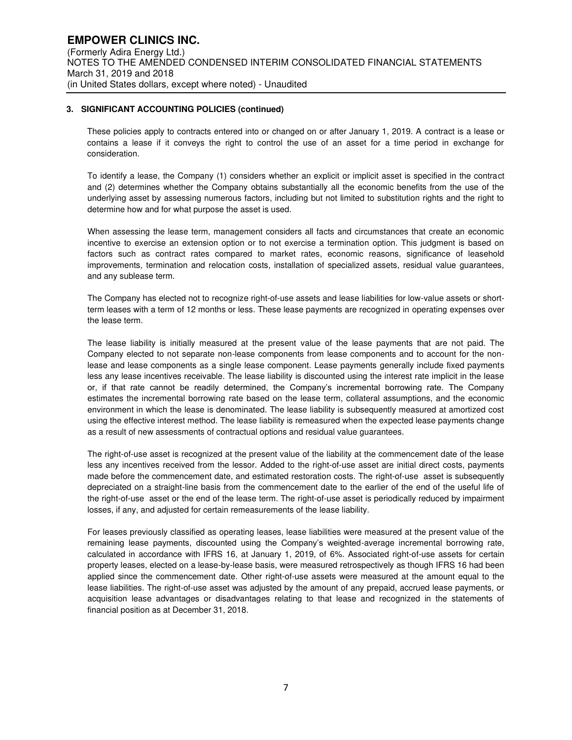### **3. SIGNIFICANT ACCOUNTING POLICIES (continued)**

These policies apply to contracts entered into or changed on or after January 1, 2019. A contract is a lease or contains a lease if it conveys the right to control the use of an asset for a time period in exchange for consideration.

To identify a lease, the Company (1) considers whether an explicit or implicit asset is specified in the contract and (2) determines whether the Company obtains substantially all the economic benefits from the use of the underlying asset by assessing numerous factors, including but not limited to substitution rights and the right to determine how and for what purpose the asset is used.

When assessing the lease term, management considers all facts and circumstances that create an economic incentive to exercise an extension option or to not exercise a termination option. This judgment is based on factors such as contract rates compared to market rates, economic reasons, significance of leasehold improvements, termination and relocation costs, installation of specialized assets, residual value guarantees, and any sublease term.

The Company has elected not to recognize right-of-use assets and lease liabilities for low-value assets or shortterm leases with a term of 12 months or less. These lease payments are recognized in operating expenses over the lease term.

The lease liability is initially measured at the present value of the lease payments that are not paid. The Company elected to not separate non-lease components from lease components and to account for the nonlease and lease components as a single lease component. Lease payments generally include fixed payments less any lease incentives receivable. The lease liability is discounted using the interest rate implicit in the lease or, if that rate cannot be readily determined, the Company's incremental borrowing rate. The Company estimates the incremental borrowing rate based on the lease term, collateral assumptions, and the economic environment in which the lease is denominated. The lease liability is subsequently measured at amortized cost using the effective interest method. The lease liability is remeasured when the expected lease payments change as a result of new assessments of contractual options and residual value guarantees.

The right-of-use asset is recognized at the present value of the liability at the commencement date of the lease less any incentives received from the lessor. Added to the right-of-use asset are initial direct costs, payments made before the commencement date, and estimated restoration costs. The right-of-use asset is subsequently depreciated on a straight-line basis from the commencement date to the earlier of the end of the useful life of the right-of-use asset or the end of the lease term. The right-of-use asset is periodically reduced by impairment losses, if any, and adjusted for certain remeasurements of the lease liability.

For leases previously classified as operating leases, lease liabilities were measured at the present value of the remaining lease payments, discounted using the Company's weighted-average incremental borrowing rate, calculated in accordance with IFRS 16, at January 1, 2019, of 6%. Associated right-of-use assets for certain property leases, elected on a lease-by-lease basis, were measured retrospectively as though IFRS 16 had been applied since the commencement date. Other right-of-use assets were measured at the amount equal to the lease liabilities. The right-of-use asset was adjusted by the amount of any prepaid, accrued lease payments, or acquisition lease advantages or disadvantages relating to that lease and recognized in the statements of financial position as at December 31, 2018.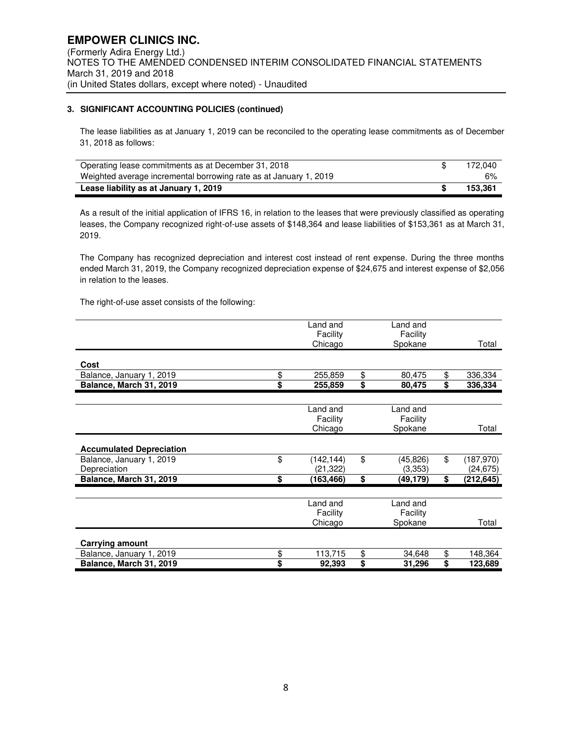### **3. SIGNIFICANT ACCOUNTING POLICIES (continued)**

The lease liabilities as at January 1, 2019 can be reconciled to the operating lease commitments as of December 31, 2018 as follows:

| Operating lease commitments as at December 31, 2018               | 172.040 |
|-------------------------------------------------------------------|---------|
| Weighted average incremental borrowing rate as at January 1, 2019 | 6%      |
| Lease liability as at January 1, 2019                             | 153.361 |

As a result of the initial application of IFRS 16, in relation to the leases that were previously classified as operating leases, the Company recognized right-of-use assets of \$148,364 and lease liabilities of \$153,361 as at March 31, 2019.

The Company has recognized depreciation and interest cost instead of rent expense. During the three months ended March 31, 2019, the Company recognized depreciation expense of \$24,675 and interest expense of \$2,056 in relation to the leases.

The right-of-use asset consists of the following:

|                                 | Land and         | Land and       |                  |
|---------------------------------|------------------|----------------|------------------|
|                                 | Facility         | Facility       |                  |
|                                 | Chicago          | Spokane        | Total            |
|                                 |                  |                |                  |
| Cost                            |                  |                |                  |
| Balance, January 1, 2019        | \$<br>255,859    | \$<br>80,475   | \$<br>336,334    |
| Balance, March 31, 2019         | \$<br>255,859    | \$<br>80,475   | \$<br>336,334    |
|                                 |                  |                |                  |
|                                 | Land and         | Land and       |                  |
|                                 | Facility         | Facility       |                  |
|                                 | Chicago          | Spokane        | Total            |
|                                 |                  |                |                  |
| <b>Accumulated Depreciation</b> |                  |                |                  |
| Balance, January 1, 2019        | \$<br>(142, 144) | \$<br>(45,826) | \$<br>(187, 970) |
| Depreciation                    | (21,322)         | (3,353)        | (24, 675)        |
| Balance, March 31, 2019         | \$<br>(163, 466) | \$<br>(49,179) | \$<br>(212, 645) |
|                                 |                  |                |                  |
|                                 | Land and         | Land and       |                  |
|                                 | Facility         | Facility       |                  |
|                                 | Chicago          | Spokane        | Total            |
|                                 |                  |                |                  |
| <b>Carrying amount</b>          |                  |                |                  |
| Balance, January 1, 2019        | \$<br>113,715    | \$<br>34,648   | \$<br>148,364    |
| Balance, March 31, 2019         | \$<br>92,393     | \$<br>31,296   | \$<br>123,689    |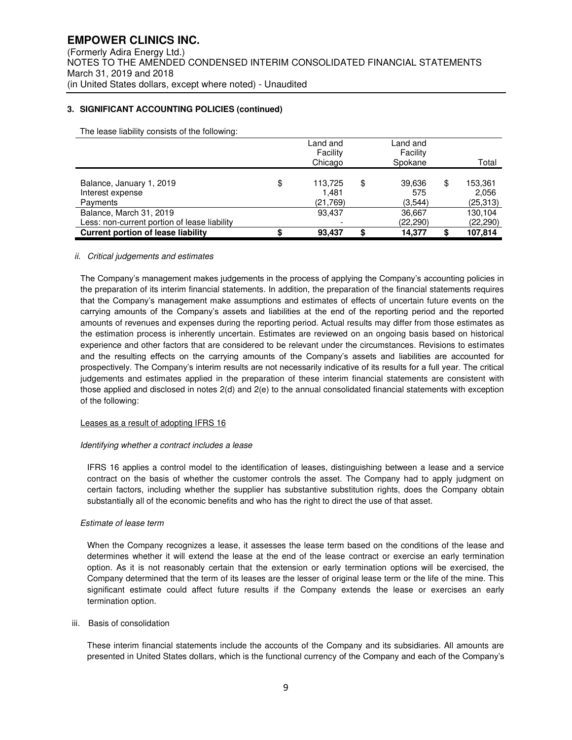### **3. SIGNIFICANT ACCOUNTING POLICIES (continued)**

The lease liability consists of the following:

|                                                          | Land and<br>Facility<br>Chicago    | Land and<br>Facility<br>Spokane | Total                               |
|----------------------------------------------------------|------------------------------------|---------------------------------|-------------------------------------|
| Balance, January 1, 2019<br>Interest expense<br>Payments | \$<br>113,725<br>1,481<br>(21,769) | \$<br>39,636<br>575<br>(3,544)  | \$<br>153,361<br>2,056<br>(25, 313) |
| Balance, March 31, 2019                                  | 93,437                             | 36,667                          | 130,104                             |
| Less: non-current portion of lease liability             |                                    | (22,290)                        | (22, 290)                           |
| <b>Current portion of lease liability</b>                | 93.437                             | \$<br>14.377                    | \$<br>107.814                       |

### ii. Critical judgements and estimates

The Company's management makes judgements in the process of applying the Company's accounting policies in the preparation of its interim financial statements. In addition, the preparation of the financial statements requires that the Company's management make assumptions and estimates of effects of uncertain future events on the carrying amounts of the Company's assets and liabilities at the end of the reporting period and the reported amounts of revenues and expenses during the reporting period. Actual results may differ from those estimates as the estimation process is inherently uncertain. Estimates are reviewed on an ongoing basis based on historical experience and other factors that are considered to be relevant under the circumstances. Revisions to estimates and the resulting effects on the carrying amounts of the Company's assets and liabilities are accounted for prospectively. The Company's interim results are not necessarily indicative of its results for a full year. The critical judgements and estimates applied in the preparation of these interim financial statements are consistent with those applied and disclosed in notes 2(d) and 2(e) to the annual consolidated financial statements with exception of the following:

### Leases as a result of adopting IFRS 16

#### Identifying whether a contract includes a lease

IFRS 16 applies a control model to the identification of leases, distinguishing between a lease and a service contract on the basis of whether the customer controls the asset. The Company had to apply judgment on certain factors, including whether the supplier has substantive substitution rights, does the Company obtain substantially all of the economic benefits and who has the right to direct the use of that asset.

#### Estimate of lease term

When the Company recognizes a lease, it assesses the lease term based on the conditions of the lease and determines whether it will extend the lease at the end of the lease contract or exercise an early termination option. As it is not reasonably certain that the extension or early termination options will be exercised, the Company determined that the term of its leases are the lesser of original lease term or the life of the mine. This significant estimate could affect future results if the Company extends the lease or exercises an early termination option.

#### iii. Basis of consolidation

These interim financial statements include the accounts of the Company and its subsidiaries. All amounts are presented in United States dollars, which is the functional currency of the Company and each of the Company's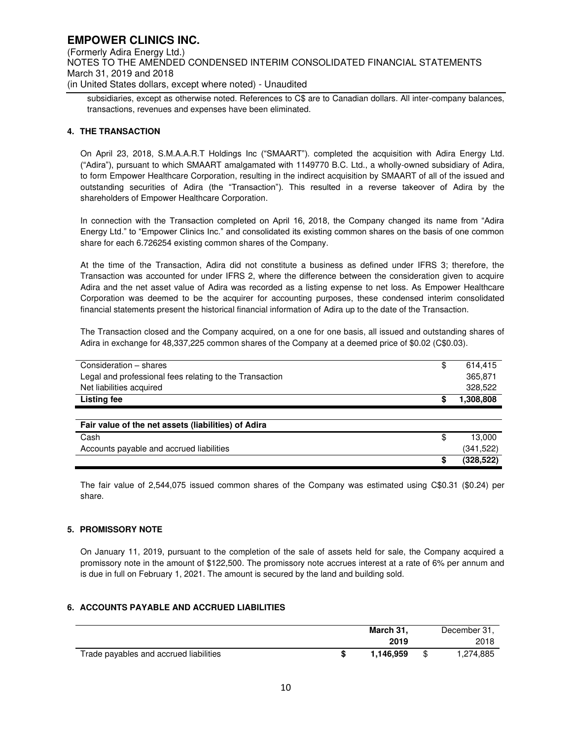**EMPOWER CLINICS INC.**  (Formerly Adira Energy Ltd.) NOTES TO THE AMENDED CONDENSED INTERIM CONSOLIDATED FINANCIAL STATEMENTS March 31, 2019 and 2018 (in United States dollars, except where noted) - Unaudited

subsidiaries, except as otherwise noted. References to C\$ are to Canadian dollars. All inter-company balances, transactions, revenues and expenses have been eliminated.

### **4. THE TRANSACTION**

On April 23, 2018, S.M.A.A.R.T Holdings Inc ("SMAART"). completed the acquisition with Adira Energy Ltd. ("Adira"), pursuant to which SMAART amalgamated with 1149770 B.C. Ltd., a wholly-owned subsidiary of Adira, to form Empower Healthcare Corporation, resulting in the indirect acquisition by SMAART of all of the issued and outstanding securities of Adira (the "Transaction"). This resulted in a reverse takeover of Adira by the shareholders of Empower Healthcare Corporation.

In connection with the Transaction completed on April 16, 2018, the Company changed its name from "Adira Energy Ltd." to "Empower Clinics Inc." and consolidated its existing common shares on the basis of one common share for each 6.726254 existing common shares of the Company.

At the time of the Transaction, Adira did not constitute a business as defined under IFRS 3; therefore, the Transaction was accounted for under IFRS 2, where the difference between the consideration given to acquire Adira and the net asset value of Adira was recorded as a listing expense to net loss. As Empower Healthcare Corporation was deemed to be the acquirer for accounting purposes, these condensed interim consolidated financial statements present the historical financial information of Adira up to the date of the Transaction.

The Transaction closed and the Company acquired, on a one for one basis, all issued and outstanding shares of Adira in exchange for 48,337,225 common shares of the Company at a deemed price of \$0.02 (C\$0.03).

| Consideration - shares                                  | \$ | 614.415    |
|---------------------------------------------------------|----|------------|
| Legal and professional fees relating to the Transaction |    | 365,871    |
| Net liabilities acquired                                |    | 328,522    |
| Listing fee                                             | S  | 1,308,808  |
|                                                         |    |            |
| Fair value of the net assets (liabilities) of Adira     |    |            |
| Cash                                                    | \$ | 13.000     |
| Accounts payable and accrued liabilities                |    | (341, 522) |
|                                                         | \$ | (328, 522) |

The fair value of 2,544,075 issued common shares of the Company was estimated using C\$0.31 (\$0.24) per share.

### **5. PROMISSORY NOTE**

On January 11, 2019, pursuant to the completion of the sale of assets held for sale, the Company acquired a promissory note in the amount of \$122,500. The promissory note accrues interest at a rate of 6% per annum and is due in full on February 1, 2021. The amount is secured by the land and building sold.

### **6. ACCOUNTS PAYABLE AND ACCRUED LIABILITIES**

|                                        | March 31, | December 31. |
|----------------------------------------|-----------|--------------|
|                                        | 2019      | 2018         |
| Trade payables and accrued liabilities | 1.146.959 | 1,274,885    |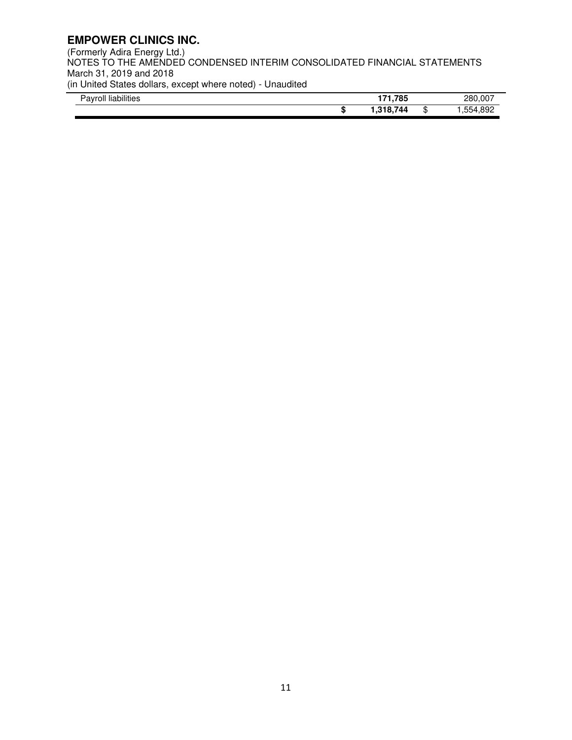(Formerly Adira Energy Ltd.) NOTES TO THE AMENDED CONDENSED INTERIM CONSOLIDATED FINANCIAL STATEMENTS March 31, 2019 and 2018 (in United States dollars, except where noted) - Unaudited

| .<br>$\overline{\phantom{a}}$<br>liabilities<br>∤av<br>roll |  |  |           | ,785<br>.       |        | .007<br>280<br>-- |
|-------------------------------------------------------------|--|--|-----------|-----------------|--------|-------------------|
|                                                             |  |  | æ<br>- 11 | 744<br>10.<br>. | л<br>D | -892<br>--<br>ושמ |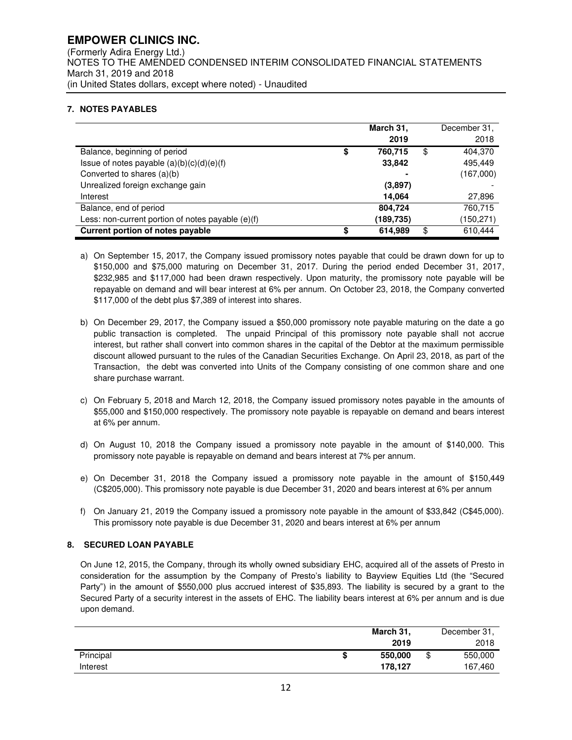### **EMPOWER CLINICS INC.**  (Formerly Adira Energy Ltd.) NOTES TO THE AMENDED CONDENSED INTERIM CONSOLIDATED FINANCIAL STATEMENTS March 31, 2019 and 2018 (in United States dollars, except where noted) - Unaudited

### **7. NOTES PAYABLES**

|                                                     |    | March 31, | December 31,  |
|-----------------------------------------------------|----|-----------|---------------|
|                                                     |    | 2019      | 2018          |
| Balance, beginning of period                        | \$ | 760,715   | \$<br>404,370 |
| Issue of notes payable $(a)(b)(c)(d)(e)(f)$         |    | 33,842    | 495.449       |
| Converted to shares (a)(b)                          |    |           | (167,000)     |
| Unrealized foreign exchange gain                    |    | (3,897)   |               |
| Interest                                            |    | 14.064    | 27,896        |
| Balance, end of period                              |    | 804,724   | 760,715       |
| Less: non-current portion of notes payable $(e)(f)$ |    | (189,735) | (150,271)     |
| Current portion of notes payable                    | S  | 614.989   | \$<br>610.444 |

- a) On September 15, 2017, the Company issued promissory notes payable that could be drawn down for up to \$150,000 and \$75,000 maturing on December 31, 2017. During the period ended December 31, 2017, \$232,985 and \$117,000 had been drawn respectively. Upon maturity, the promissory note payable will be repayable on demand and will bear interest at 6% per annum. On October 23, 2018, the Company converted \$117,000 of the debt plus \$7,389 of interest into shares.
- b) On December 29, 2017, the Company issued a \$50,000 promissory note payable maturing on the date a go public transaction is completed. The unpaid Principal of this promissory note payable shall not accrue interest, but rather shall convert into common shares in the capital of the Debtor at the maximum permissible discount allowed pursuant to the rules of the Canadian Securities Exchange. On April 23, 2018, as part of the Transaction, the debt was converted into Units of the Company consisting of one common share and one share purchase warrant.
- c) On February 5, 2018 and March 12, 2018, the Company issued promissory notes payable in the amounts of \$55,000 and \$150,000 respectively. The promissory note payable is repayable on demand and bears interest at 6% per annum.
- d) On August 10, 2018 the Company issued a promissory note payable in the amount of \$140,000. This promissory note payable is repayable on demand and bears interest at 7% per annum.
- e) On December 31, 2018 the Company issued a promissory note payable in the amount of \$150,449 (C\$205,000). This promissory note payable is due December 31, 2020 and bears interest at 6% per annum
- f) On January 21, 2019 the Company issued a promissory note payable in the amount of \$33,842 (C\$45,000). This promissory note payable is due December 31, 2020 and bears interest at 6% per annum

### **8. SECURED LOAN PAYABLE**

On June 12, 2015, the Company, through its wholly owned subsidiary EHC, acquired all of the assets of Presto in consideration for the assumption by the Company of Presto's liability to Bayview Equities Ltd (the "Secured Party") in the amount of \$550,000 plus accrued interest of \$35,893. The liability is secured by a grant to the Secured Party of a security interest in the assets of EHC. The liability bears interest at 6% per annum and is due upon demand.

|           | March 31, | December 31,  |
|-----------|-----------|---------------|
|           | 2019      | 2018          |
| Principal | 550,000   | \$<br>550,000 |
| Interest  | 178.127   | 167.460       |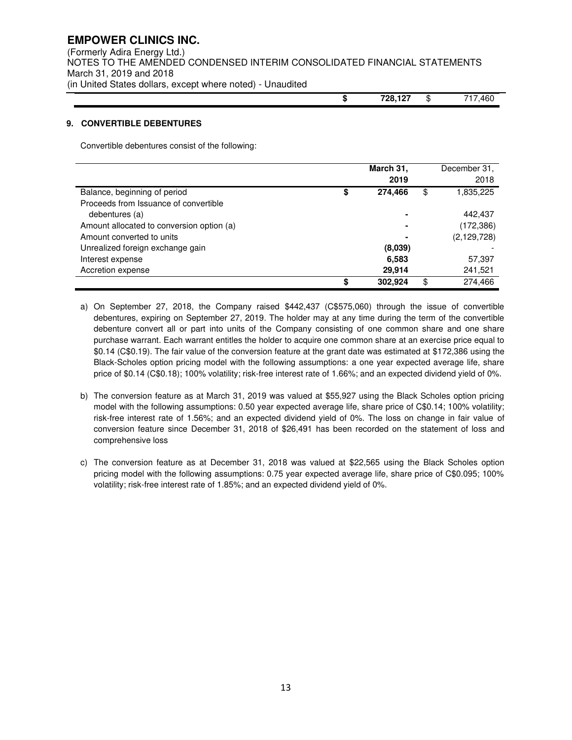### **EMPOWER CLINICS INC.**  (Formerly Adira Energy Ltd.) NOTES TO THE AMENDED CONDENSED INTERIM CONSOLIDATED FINANCIAL STATEMENTS March 31, 2019 and 2018 (in United States dollars, except where noted) - Unaudited

**\$ 728,127** \$ 717,460

### **9. CONVERTIBLE DEBENTURES**

Convertible debentures consist of the following:

|                                           | March 31,<br>2019 | December 31,<br>2018 |
|-------------------------------------------|-------------------|----------------------|
| Balance, beginning of period              | \$<br>274.466     | \$<br>1,835,225      |
| Proceeds from Issuance of convertible     |                   |                      |
| debentures (a)                            | $\blacksquare$    | 442,437              |
| Amount allocated to conversion option (a) | $\blacksquare$    | (172, 386)           |
| Amount converted to units                 | $\blacksquare$    | (2, 129, 728)        |
| Unrealized foreign exchange gain          | (8,039)           |                      |
| Interest expense                          | 6,583             | 57,397               |
| Accretion expense                         | 29.914            | 241,521              |
|                                           | \$<br>302.924     | \$<br>274.466        |

- a) On September 27, 2018, the Company raised \$442,437 (C\$575,060) through the issue of convertible debentures, expiring on September 27, 2019. The holder may at any time during the term of the convertible debenture convert all or part into units of the Company consisting of one common share and one share purchase warrant. Each warrant entitles the holder to acquire one common share at an exercise price equal to \$0.14 (C\$0.19). The fair value of the conversion feature at the grant date was estimated at \$172,386 using the Black-Scholes option pricing model with the following assumptions: a one year expected average life, share price of \$0.14 (C\$0.18); 100% volatility; risk-free interest rate of 1.66%; and an expected dividend yield of 0%.
- b) The conversion feature as at March 31, 2019 was valued at \$55,927 using the Black Scholes option pricing model with the following assumptions: 0.50 year expected average life, share price of C\$0.14; 100% volatility; risk-free interest rate of 1.56%; and an expected dividend yield of 0%. The loss on change in fair value of conversion feature since December 31, 2018 of \$26,491 has been recorded on the statement of loss and comprehensive loss
- c) The conversion feature as at December 31, 2018 was valued at \$22,565 using the Black Scholes option pricing model with the following assumptions: 0.75 year expected average life, share price of C\$0.095; 100% volatility; risk-free interest rate of 1.85%; and an expected dividend yield of 0%.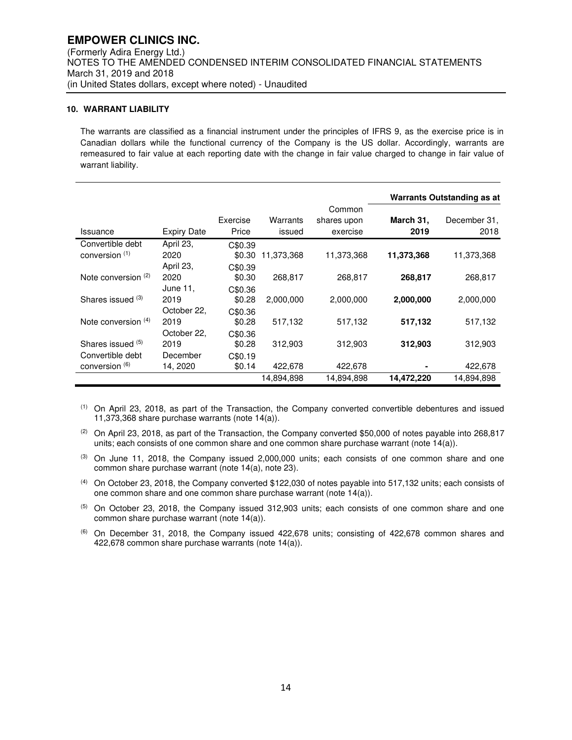### **10. WARRANT LIABILITY**

The warrants are classified as a financial instrument under the principles of IFRS 9, as the exercise price is in Canadian dollars while the functional currency of the Company is the US dollar. Accordingly, warrants are remeasured to fair value at each reporting date with the change in fair value charged to change in fair value of warrant liability.

|                                                         |                                |                              |                    |                                   |                   | Warrants Outstanding as at |
|---------------------------------------------------------|--------------------------------|------------------------------|--------------------|-----------------------------------|-------------------|----------------------------|
| Issuance                                                | <b>Expiry Date</b>             | Exercise<br>Price            | Warrants<br>issued | Common<br>shares upon<br>exercise | March 31,<br>2019 | December 31,<br>2018       |
| Convertible debt<br>conversion (1)                      | April 23,<br>2020<br>April 23, | C\$0.39<br>\$0.30<br>C\$0.39 | 11,373,368         | 11,373,368                        | 11,373,368        | 11,373,368                 |
| Note conversion $(2)$                                   | 2020<br>June 11.               | \$0.30<br>C\$0.36            | 268.817            | 268,817                           | 268,817           | 268,817                    |
| Shares issued (3)                                       | 2019<br>October 22,            | \$0.28<br>C\$0.36            | 2,000,000          | 2,000,000                         | 2,000,000         | 2,000,000                  |
| Note conversion $(4)$                                   | 2019<br>October 22,            | \$0.28<br>C\$0.36            | 517,132            | 517,132                           | 517,132           | 517,132                    |
| Shares issued (5)<br>Convertible debt<br>conversion (6) | 2019<br>December<br>14, 2020   | \$0.28<br>C\$0.19<br>\$0.14  | 312,903<br>422,678 | 312,903<br>422,678                | 312,903           | 312,903<br>422,678         |
|                                                         |                                |                              | 14,894,898         | 14,894,898                        | 14,472,220        | 14,894,898                 |

(1) On April 23, 2018, as part of the Transaction, the Company converted convertible debentures and issued 11,373,368 share purchase warrants (note 14(a)).

 $(2)$  On April 23, 2018, as part of the Transaction, the Company converted \$50,000 of notes payable into 268,817 units; each consists of one common share and one common share purchase warrant (note 14(a)).

- $<sup>(3)</sup>$  On June 11, 2018, the Company issued 2,000,000 units; each consists of one common share and one</sup> common share purchase warrant (note 14(a), note 23).
- (4) On October 23, 2018, the Company converted \$122,030 of notes payable into 517,132 units; each consists of one common share and one common share purchase warrant (note 14(a)).

(5) On October 23, 2018, the Company issued 312,903 units; each consists of one common share and one common share purchase warrant (note 14(a)).

 $(6)$  On December 31, 2018, the Company issued 422,678 units; consisting of 422,678 common shares and 422,678 common share purchase warrants (note 14(a)).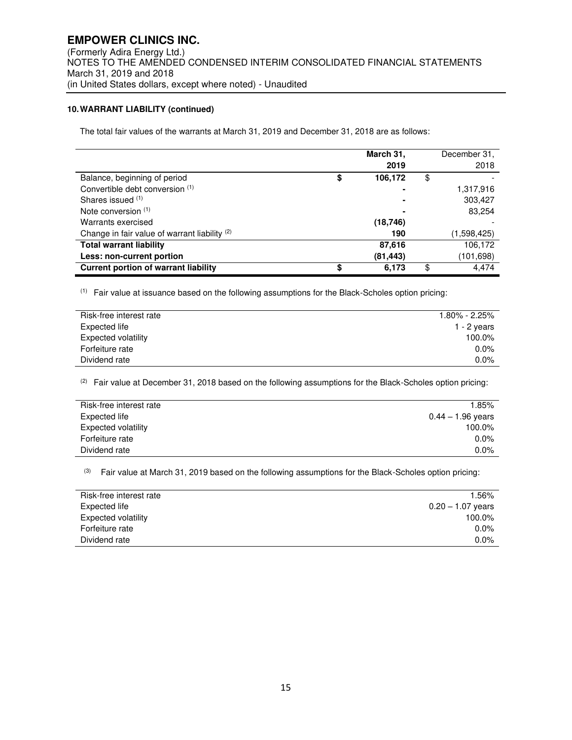### **10. WARRANT LIABILITY (continued)**

The total fair values of the warrants at March 31, 2019 and December 31, 2018 are as follows:

|                                                          |    | March 31,<br>2019 | December 31,<br>2018 |
|----------------------------------------------------------|----|-------------------|----------------------|
| Balance, beginning of period                             | \$ | 106,172           | \$                   |
| Convertible debt conversion (1)                          |    |                   | 1,317,916            |
| Shares issued (1)                                        |    |                   | 303,427              |
| Note conversion (1)                                      |    |                   | 83,254               |
| Warrants exercised                                       |    | (18, 746)         |                      |
| Change in fair value of warrant liability <sup>(2)</sup> |    | 190               | (1,598,425)          |
| <b>Total warrant liability</b>                           |    | 87,616            | 106,172              |
| Less: non-current portion                                |    | (81, 443)         | (101,698)            |
| <b>Current portion of warrant liability</b>              | S  | 6.173             | \$<br>4.474          |

(1) Fair value at issuance based on the following assumptions for the Black-Scholes option pricing:

| Risk-free interest rate    | $1.80\%$ - 2.25% |
|----------------------------|------------------|
| Expected life              | 1 - 2 years      |
| <b>Expected volatility</b> | 100.0%           |
| Forfeiture rate            | $0.0\%$          |
| Dividend rate              | $0.0\%$          |

 $(2)$  Fair value at December 31, 2018 based on the following assumptions for the Black-Scholes option pricing:

| Risk-free interest rate | 1.85%               |
|-------------------------|---------------------|
| Expected life           | $0.44 - 1.96$ years |
| Expected volatility     | 100.0%              |
| Forfeiture rate         | $0.0\%$             |
| Dividend rate           | $0.0\%$             |

(3) Fair value at March 31, 2019 based on the following assumptions for the Black-Scholes option pricing:

| Risk-free interest rate | .56%                |
|-------------------------|---------------------|
| Expected life           | $0.20 - 1.07$ years |
| Expected volatility     | 100.0%              |
| Forfeiture rate         | $0.0\%$             |
| Dividend rate           | $0.0\%$             |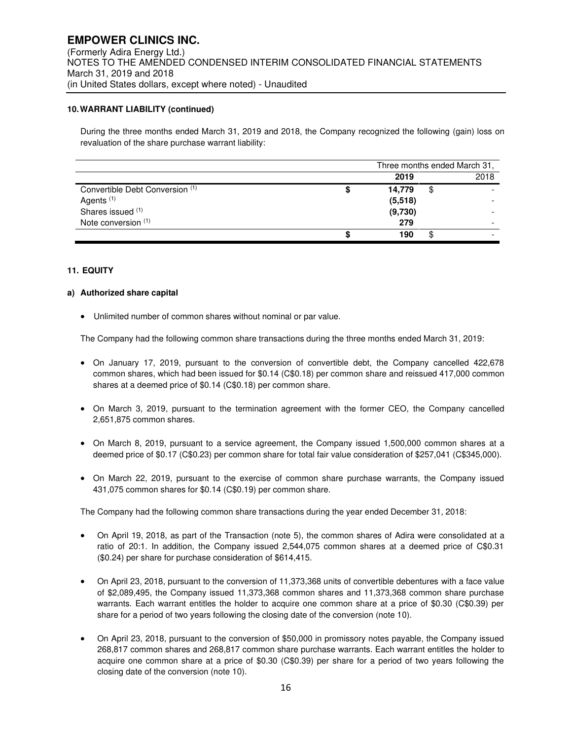### **10. WARRANT LIABILITY (continued)**

During the three months ended March 31, 2019 and 2018, the Company recognized the following (gain) loss on revaluation of the share purchase warrant liability:

|                                 |         | Three months ended March 31, |
|---------------------------------|---------|------------------------------|
|                                 | 2019    | 2018                         |
| Convertible Debt Conversion (1) | 14.779  |                              |
| Agents <sup>(1)</sup>           | (5,518) |                              |
| Shares issued (1)               | (9,730) |                              |
| Note conversion (1)             | 279     |                              |
|                                 | 190     |                              |

### **11. EQUITY**

### **a) Authorized share capital**

• Unlimited number of common shares without nominal or par value.

The Company had the following common share transactions during the three months ended March 31, 2019:

- On January 17, 2019, pursuant to the conversion of convertible debt, the Company cancelled 422,678 common shares, which had been issued for \$0.14 (C\$0.18) per common share and reissued 417,000 common shares at a deemed price of \$0.14 (C\$0.18) per common share.
- On March 3, 2019, pursuant to the termination agreement with the former CEO, the Company cancelled 2,651,875 common shares.
- On March 8, 2019, pursuant to a service agreement, the Company issued 1,500,000 common shares at a deemed price of \$0.17 (C\$0.23) per common share for total fair value consideration of \$257,041 (C\$345,000).
- On March 22, 2019, pursuant to the exercise of common share purchase warrants, the Company issued 431,075 common shares for \$0.14 (C\$0.19) per common share.

The Company had the following common share transactions during the year ended December 31, 2018:

- On April 19, 2018, as part of the Transaction (note 5), the common shares of Adira were consolidated at a ratio of 20:1. In addition, the Company issued 2,544,075 common shares at a deemed price of C\$0.31 (\$0.24) per share for purchase consideration of \$614,415.
- On April 23, 2018, pursuant to the conversion of 11,373,368 units of convertible debentures with a face value of \$2,089,495, the Company issued 11,373,368 common shares and 11,373,368 common share purchase warrants. Each warrant entitles the holder to acquire one common share at a price of \$0.30 (C\$0.39) per share for a period of two years following the closing date of the conversion (note 10).
- On April 23, 2018, pursuant to the conversion of \$50,000 in promissory notes payable, the Company issued 268,817 common shares and 268,817 common share purchase warrants. Each warrant entitles the holder to acquire one common share at a price of \$0.30 (C\$0.39) per share for a period of two years following the closing date of the conversion (note 10).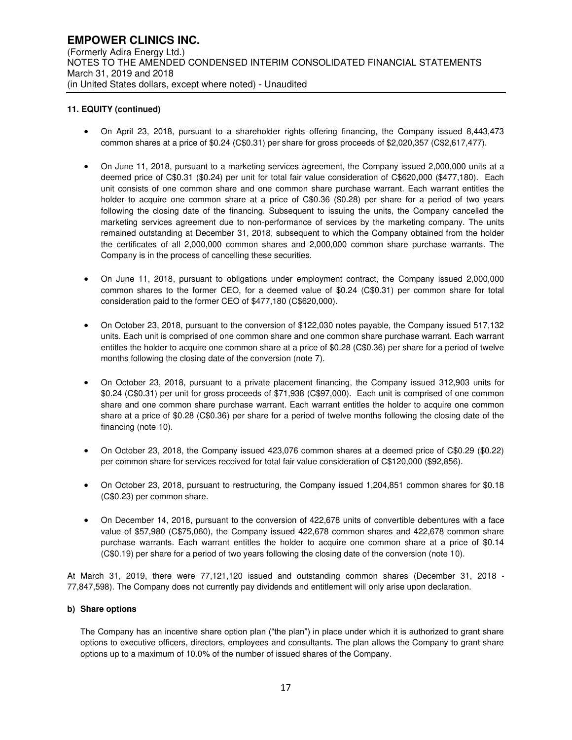### **11. EQUITY (continued)**

- On April 23, 2018, pursuant to a shareholder rights offering financing, the Company issued 8,443,473 common shares at a price of \$0.24 (C\$0.31) per share for gross proceeds of \$2,020,357 (C\$2,617,477).
- On June 11, 2018, pursuant to a marketing services agreement, the Company issued 2,000,000 units at a deemed price of C\$0.31 (\$0.24) per unit for total fair value consideration of C\$620,000 (\$477,180). Each unit consists of one common share and one common share purchase warrant. Each warrant entitles the holder to acquire one common share at a price of C\$0.36 (\$0.28) per share for a period of two years following the closing date of the financing. Subsequent to issuing the units, the Company cancelled the marketing services agreement due to non-performance of services by the marketing company. The units remained outstanding at December 31, 2018, subsequent to which the Company obtained from the holder the certificates of all 2,000,000 common shares and 2,000,000 common share purchase warrants. The Company is in the process of cancelling these securities.
- On June 11, 2018, pursuant to obligations under employment contract, the Company issued 2,000,000 common shares to the former CEO, for a deemed value of \$0.24 (C\$0.31) per common share for total consideration paid to the former CEO of \$477,180 (C\$620,000).
- On October 23, 2018, pursuant to the conversion of \$122,030 notes payable, the Company issued 517,132 units. Each unit is comprised of one common share and one common share purchase warrant. Each warrant entitles the holder to acquire one common share at a price of \$0.28 (C\$0.36) per share for a period of twelve months following the closing date of the conversion (note 7).
- On October 23, 2018, pursuant to a private placement financing, the Company issued 312,903 units for \$0.24 (C\$0.31) per unit for gross proceeds of \$71,938 (C\$97,000). Each unit is comprised of one common share and one common share purchase warrant. Each warrant entitles the holder to acquire one common share at a price of \$0.28 (C\$0.36) per share for a period of twelve months following the closing date of the financing (note 10).
- On October 23, 2018, the Company issued 423,076 common shares at a deemed price of C\$0.29 (\$0.22) per common share for services received for total fair value consideration of C\$120,000 (\$92,856).
- On October 23, 2018, pursuant to restructuring, the Company issued 1,204,851 common shares for \$0.18 (C\$0.23) per common share.
- On December 14, 2018, pursuant to the conversion of 422,678 units of convertible debentures with a face value of \$57,980 (C\$75,060), the Company issued 422,678 common shares and 422,678 common share purchase warrants. Each warrant entitles the holder to acquire one common share at a price of \$0.14 (C\$0.19) per share for a period of two years following the closing date of the conversion (note 10).

At March 31, 2019, there were 77,121,120 issued and outstanding common shares (December 31, 2018 - 77,847,598). The Company does not currently pay dividends and entitlement will only arise upon declaration.

### **b) Share options**

The Company has an incentive share option plan ("the plan") in place under which it is authorized to grant share options to executive officers, directors, employees and consultants. The plan allows the Company to grant share options up to a maximum of 10.0% of the number of issued shares of the Company.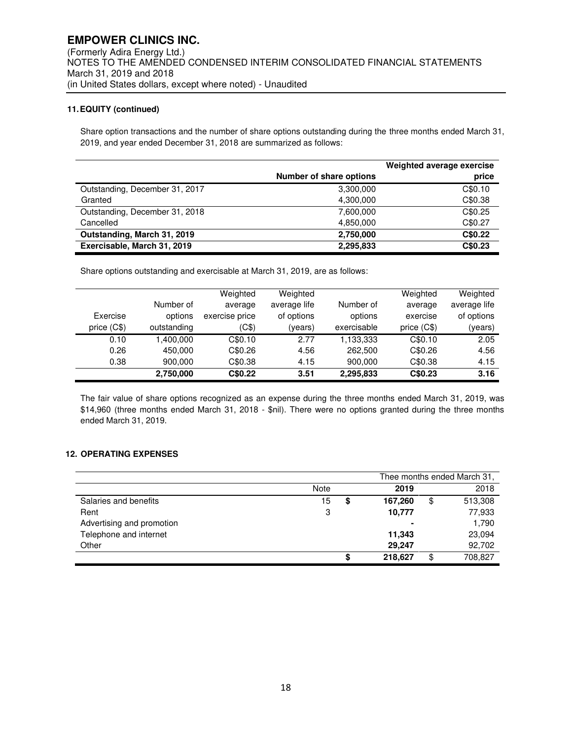### **11. EQUITY (continued)**

Share option transactions and the number of share options outstanding during the three months ended March 31, 2019, and year ended December 31, 2018 are summarized as follows:

|                                |                         | Weighted average exercise |
|--------------------------------|-------------------------|---------------------------|
|                                | Number of share options | price                     |
| Outstanding, December 31, 2017 | 3,300,000               | C\$0.10                   |
| Granted                        | 4,300,000               | C\$0.38                   |
| Outstanding, December 31, 2018 | 7.600.000               | C\$0.25                   |
| Cancelled                      | 4,850,000               | C\$0.27                   |
| Outstanding, March 31, 2019    | 2,750,000               | C\$0.22                   |
| Exercisable, March 31, 2019    | 2,295,833               | C\$0.23                   |

Share options outstanding and exercisable at March 31, 2019, are as follows:

|              |             | Weighted       | Weighted     |             | Weighted     | Weighted     |
|--------------|-------------|----------------|--------------|-------------|--------------|--------------|
|              | Number of   | average        | average life | Number of   | average      | average life |
| Exercise     | options     | exercise price | of options   | options     | exercise     | of options   |
| price $(C$)$ | outstanding | (C\$)          | (years)      | exercisable | price $(C$)$ | (years)      |
| 0.10         | 1.400.000   | C\$0.10        | 2.77         | 1,133,333   | C\$0.10      | 2.05         |
| 0.26         | 450.000     | C\$0.26        | 4.56         | 262,500     | C\$0.26      | 4.56         |
| 0.38         | 900.000     | C\$0.38        | 4.15         | 900.000     | C\$0.38      | 4.15         |
|              | 2,750,000   | C\$0.22        | 3.51         | 2,295,833   | C\$0.23      | 3.16         |

The fair value of share options recognized as an expense during the three months ended March 31, 2019, was \$14,960 (three months ended March 31, 2018 - \$nil). There were no options granted during the three months ended March 31, 2019.

### **12. OPERATING EXPENSES**

|                           |      |               | Thee months ended March 31, |
|---------------------------|------|---------------|-----------------------------|
|                           | Note | 2019          | 2018                        |
| Salaries and benefits     | 15   | \$<br>167,260 | \$<br>513,308               |
| Rent                      | 3    | 10,777        | 77,933                      |
| Advertising and promotion |      | ۰             | 1,790                       |
| Telephone and internet    |      | 11,343        | 23,094                      |
| Other                     |      | 29.247        | 92,702                      |
|                           |      | \$<br>218,627 | \$<br>708,827               |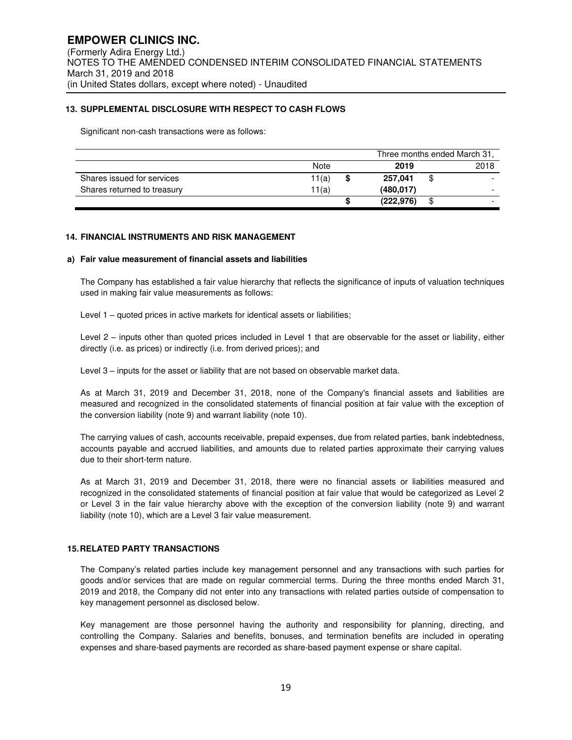### **13. SUPPLEMENTAL DISCLOSURE WITH RESPECT TO CASH FLOWS**

Significant non-cash transactions were as follows:

|                             |       |           | Three months ended March 31, |
|-----------------------------|-------|-----------|------------------------------|
|                             | Note  | 2019      | 2018                         |
| Shares issued for services  | 11(a) | 257.041   | \$                           |
| Shares returned to treasury | 11(a) | (480.017) |                              |
|                             |       | (222.976) | \$<br>-                      |

### **14. FINANCIAL INSTRUMENTS AND RISK MANAGEMENT**

#### **a) Fair value measurement of financial assets and liabilities**

The Company has established a fair value hierarchy that reflects the significance of inputs of valuation techniques used in making fair value measurements as follows:

Level 1 – quoted prices in active markets for identical assets or liabilities;

Level 2 – inputs other than quoted prices included in Level 1 that are observable for the asset or liability, either directly (i.e. as prices) or indirectly (i.e. from derived prices); and

Level 3 – inputs for the asset or liability that are not based on observable market data.

As at March 31, 2019 and December 31, 2018, none of the Company's financial assets and liabilities are measured and recognized in the consolidated statements of financial position at fair value with the exception of the conversion liability (note 9) and warrant liability (note 10).

The carrying values of cash, accounts receivable, prepaid expenses, due from related parties, bank indebtedness, accounts payable and accrued liabilities, and amounts due to related parties approximate their carrying values due to their short-term nature.

As at March 31, 2019 and December 31, 2018, there were no financial assets or liabilities measured and recognized in the consolidated statements of financial position at fair value that would be categorized as Level 2 or Level 3 in the fair value hierarchy above with the exception of the conversion liability (note 9) and warrant liability (note 10), which are a Level 3 fair value measurement.

### **15. RELATED PARTY TRANSACTIONS**

The Company's related parties include key management personnel and any transactions with such parties for goods and/or services that are made on regular commercial terms. During the three months ended March 31, 2019 and 2018, the Company did not enter into any transactions with related parties outside of compensation to key management personnel as disclosed below.

Key management are those personnel having the authority and responsibility for planning, directing, and controlling the Company. Salaries and benefits, bonuses, and termination benefits are included in operating expenses and share-based payments are recorded as share-based payment expense or share capital.